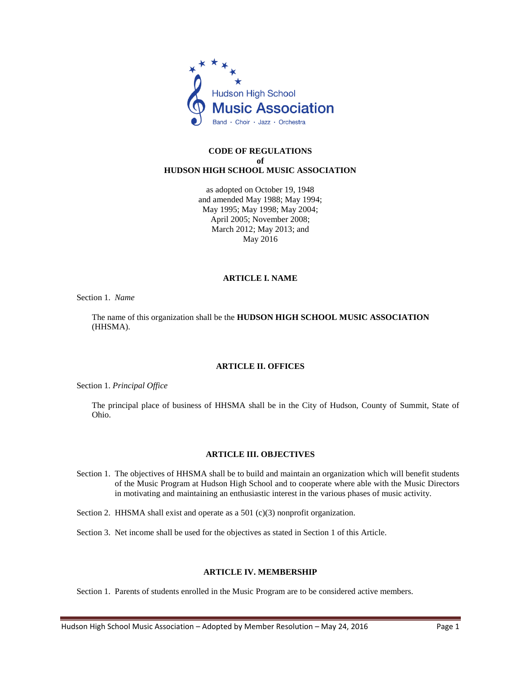

## **CODE OF REGULATIONS of HUDSON HIGH SCHOOL MUSIC ASSOCIATION**

as adopted on October 19, 1948 and amended May 1988; May 1994; May 1995; May 1998; May 2004; April 2005; November 2008; March 2012; May 2013; and May 2016

## **ARTICLE I. NAME**

Section 1. *Name*

The name of this organization shall be the **HUDSON HIGH SCHOOL MUSIC ASSOCIATION** (HHSMA).

# **ARTICLE II. OFFICES**

Section 1. *Principal Office*

The principal place of business of HHSMA shall be in the City of Hudson, County of Summit, State of Ohio.

# **ARTICLE III. OBJECTIVES**

- Section 1. The objectives of HHSMA shall be to build and maintain an organization which will benefit students of the Music Program at Hudson High School and to cooperate where able with the Music Directors in motivating and maintaining an enthusiastic interest in the various phases of music activity.
- Section 2. HHSMA shall exist and operate as a 501 (c)(3) nonprofit organization.
- Section 3. Net income shall be used for the objectives as stated in Section 1 of this Article.

# **ARTICLE IV. MEMBERSHIP**

Section 1. Parents of students enrolled in the Music Program are to be considered active members.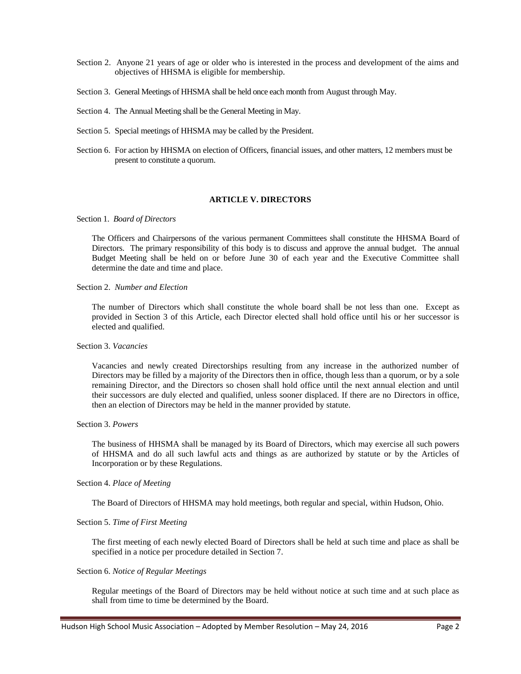- Section 2. Anyone 21 years of age or older who is interested in the process and development of the aims and objectives of HHSMA is eligible for membership.
- Section 3. General Meetings of HHSMA shall be held once each month from August through May.
- Section 4. The Annual Meeting shall be the General Meeting in May.
- Section 5. Special meetings of HHSMA may be called by the President.
- Section 6. For action by HHSMA on election of Officers, financial issues, and other matters, 12 members must be present to constitute a quorum.

### **ARTICLE V. DIRECTORS**

#### Section 1. *Board of Directors*

The Officers and Chairpersons of the various permanent Committees shall constitute the HHSMA Board of Directors. The primary responsibility of this body is to discuss and approve the annual budget. The annual Budget Meeting shall be held on or before June 30 of each year and the Executive Committee shall determine the date and time and place.

### Section 2. *Number and Election*

The number of Directors which shall constitute the whole board shall be not less than one. Except as provided in Section 3 of this Article, each Director elected shall hold office until his or her successor is elected and qualified.

# Section 3. *Vacancies*

Vacancies and newly created Directorships resulting from any increase in the authorized number of Directors may be filled by a majority of the Directors then in office, though less than a quorum, or by a sole remaining Director, and the Directors so chosen shall hold office until the next annual election and until their successors are duly elected and qualified, unless sooner displaced. If there are no Directors in office, then an election of Directors may be held in the manner provided by statute.

### Section 3. *Powers*

The business of HHSMA shall be managed by its Board of Directors, which may exercise all such powers of HHSMA and do all such lawful acts and things as are authorized by statute or by the Articles of Incorporation or by these Regulations.

### Section 4. *Place of Meeting*

The Board of Directors of HHSMA may hold meetings, both regular and special, within Hudson, Ohio.

#### Section 5. *Time of First Meeting*

The first meeting of each newly elected Board of Directors shall be held at such time and place as shall be specified in a notice per procedure detailed in Section 7.

## Section 6. *Notice of Regular Meetings*

Regular meetings of the Board of Directors may be held without notice at such time and at such place as shall from time to time be determined by the Board.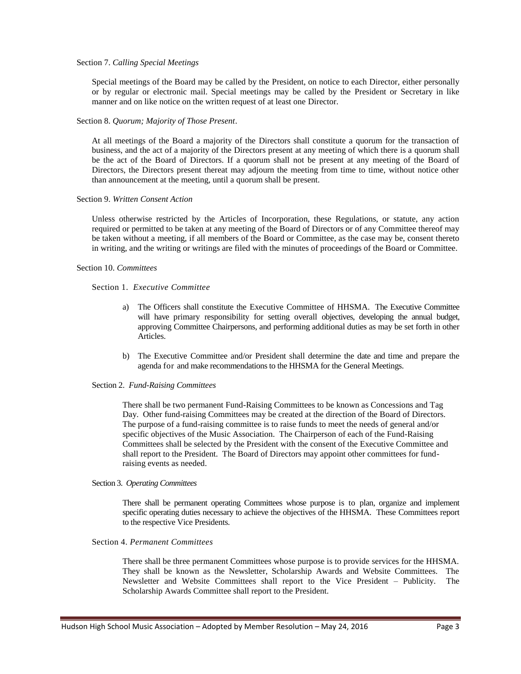### Section 7. *Calling Special Meetings*

Special meetings of the Board may be called by the President, on notice to each Director, either personally or by regular or electronic mail. Special meetings may be called by the President or Secretary in like manner and on like notice on the written request of at least one Director.

### Section 8. *Quorum; Majority of Those Present*.

At all meetings of the Board a majority of the Directors shall constitute a quorum for the transaction of business, and the act of a majority of the Directors present at any meeting of which there is a quorum shall be the act of the Board of Directors. If a quorum shall not be present at any meeting of the Board of Directors, the Directors present thereat may adjourn the meeting from time to time, without notice other than announcement at the meeting, until a quorum shall be present.

### Section 9. *Written Consent Action*

Unless otherwise restricted by the Articles of Incorporation, these Regulations, or statute, any action required or permitted to be taken at any meeting of the Board of Directors or of any Committee thereof may be taken without a meeting, if all members of the Board or Committee, as the case may be, consent thereto in writing, and the writing or writings are filed with the minutes of proceedings of the Board or Committee.

### Section 10. *Committees*

Section 1. *Executive Committee*

- a) The Officers shall constitute the Executive Committee of HHSMA. The Executive Committee will have primary responsibility for setting overall objectives, developing the annual budget, approving Committee Chairpersons, and performing additional duties as may be set forth in other Articles.
- b) The Executive Committee and/or President shall determine the date and time and prepare the agenda for and make recommendations to the HHSMA for the General Meetings.

#### Section 2. *Fund-Raising Committees*

There shall be two permanent Fund-Raising Committees to be known as Concessions and Tag Day. Other fund-raising Committees may be created at the direction of the Board of Directors. The purpose of a fund-raising committee is to raise funds to meet the needs of general and/or specific objectives of the Music Association. The Chairperson of each of the Fund-Raising Committees shall be selected by the President with the consent of the Executive Committee and shall report to the President. The Board of Directors may appoint other committees for fundraising events as needed.

#### Section 3. *Operating Committees*

There shall be permanent operating Committees whose purpose is to plan, organize and implement specific operating duties necessary to achieve the objectives of the HHSMA. These Committees report to the respective Vice Presidents.

#### Section 4. *Permanent Committees*

There shall be three permanent Committees whose purpose is to provide services for the HHSMA. They shall be known as the Newsletter, Scholarship Awards and Website Committees. The Newsletter and Website Committees shall report to the Vice President – Publicity. The Scholarship Awards Committee shall report to the President.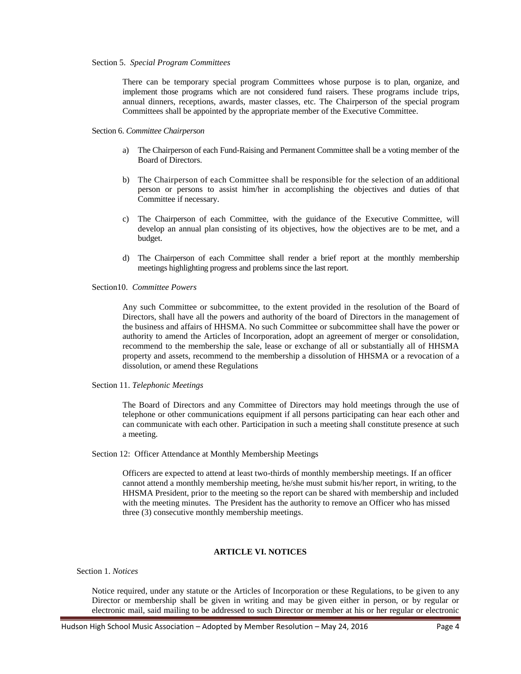#### Section 5. *Special Program Committees*

There can be temporary special program Committees whose purpose is to plan, organize, and implement those programs which are not considered fund raisers. These programs include trips, annual dinners, receptions, awards, master classes, etc. The Chairperson of the special program Committees shall be appointed by the appropriate member of the Executive Committee.

## Section 6. *Committee Chairperson*

- a) The Chairperson of each Fund-Raising and Permanent Committee shall be a voting member of the Board of Directors.
- b) The Chairperson of each Committee shall be responsible for the selection of an additional person or persons to assist him/her in accomplishing the objectives and duties of that Committee if necessary.
- c) The Chairperson of each Committee, with the guidance of the Executive Committee, will develop an annual plan consisting of its objectives, how the objectives are to be met, and a budget.
- d) The Chairperson of each Committee shall render a brief report at the monthly membership meetings highlighting progress and problems since the last report.

Section10. *Committee Powers*

Any such Committee or subcommittee, to the extent provided in the resolution of the Board of Directors, shall have all the powers and authority of the board of Directors in the management of the business and affairs of HHSMA. No such Committee or subcommittee shall have the power or authority to amend the Articles of Incorporation, adopt an agreement of merger or consolidation, recommend to the membership the sale, lease or exchange of all or substantially all of HHSMA property and assets, recommend to the membership a dissolution of HHSMA or a revocation of a dissolution, or amend these Regulations

Section 11. *Telephonic Meetings*

The Board of Directors and any Committee of Directors may hold meetings through the use of telephone or other communications equipment if all persons participating can hear each other and can communicate with each other. Participation in such a meeting shall constitute presence at such a meeting.

Section 12: Officer Attendance at Monthly Membership Meetings

Officers are expected to attend at least two-thirds of monthly membership meetings. If an officer cannot attend a monthly membership meeting, he/she must submit his/her report, in writing, to the HHSMA President, prior to the meeting so the report can be shared with membership and included with the meeting minutes. The President has the authority to remove an Officer who has missed three (3) consecutive monthly membership meetings.

# **ARTICLE VI. NOTICES**

Section 1. *Notices*

Notice required, under any statute or the Articles of Incorporation or these Regulations, to be given to any Director or membership shall be given in writing and may be given either in person, or by regular or electronic mail, said mailing to be addressed to such Director or member at his or her regular or electronic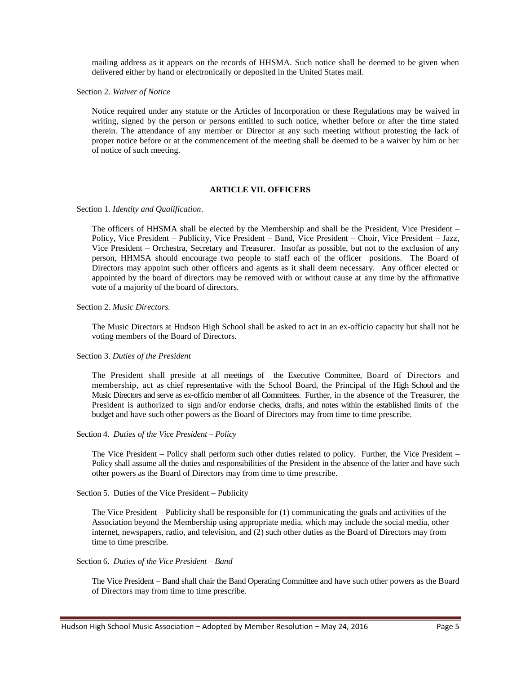mailing address as it appears on the records of HHSMA. Such notice shall be deemed to be given when delivered either by hand or electronically or deposited in the United States mail.

Section 2. *Waiver of Notice*

Notice required under any statute or the Articles of Incorporation or these Regulations may be waived in writing, signed by the person or persons entitled to such notice, whether before or after the time stated therein. The attendance of any member or Director at any such meeting without protesting the lack of proper notice before or at the commencement of the meeting shall be deemed to be a waiver by him or her of notice of such meeting.

## **ARTICLE VII. OFFICERS**

Section 1. *Identity and Qualification*.

The officers of HHSMA shall be elected by the Membership and shall be the President, Vice President – Policy, Vice President – Publicity, Vice President – Band, Vice President – Choir, Vice President – Jazz, Vice President – Orchestra, Secretary and Treasurer. Insofar as possible, but not to the exclusion of any person, HHMSA should encourage two people to staff each of the officer positions. The Board of Directors may appoint such other officers and agents as it shall deem necessary. Any officer elected or appointed by the board of directors may be removed with or without cause at any time by the affirmative vote of a majority of the board of directors.

#### Section 2. *Music Directors.*

The Music Directors at Hudson High School shall be asked to act in an ex-officio capacity but shall not be voting members of the Board of Directors.

## Section 3. *Duties of the President*

The President shall preside at all meetings of the Executive Committee, Board of Directors and membership, act as chief representative with the School Board, the Principal of the High School and the Music Directors and serve as ex-officio member of all Committees. Further, in the absence of the Treasurer, the President is authorized to sign and/or endorse checks, drafts, and notes within the established limits of the budget and have such other powers as the Board of Directors may from time to time prescribe.

### Section 4. *Duties of the Vice President – Policy*

The Vice President – Policy shall perform such other duties related to policy. Further, the Vice President – Policy shall assume all the duties and responsibilities of the President in the absence of the latter and have such other powers as the Board of Directors may from time to time prescribe.

Section 5. Duties of the Vice President – Publicity

The Vice President – Publicity shall be responsible for (1) communicating the goals and activities of the Association beyond the Membership using appropriate media, which may include the social media, other internet, newspapers, radio, and television, and (2) such other duties as the Board of Directors may from time to time prescribe.

### Section 6. *Duties of the Vice President – Band*

The Vice President – Band shall chair the Band Operating Committee and have such other powers as the Board of Directors may from time to time prescribe.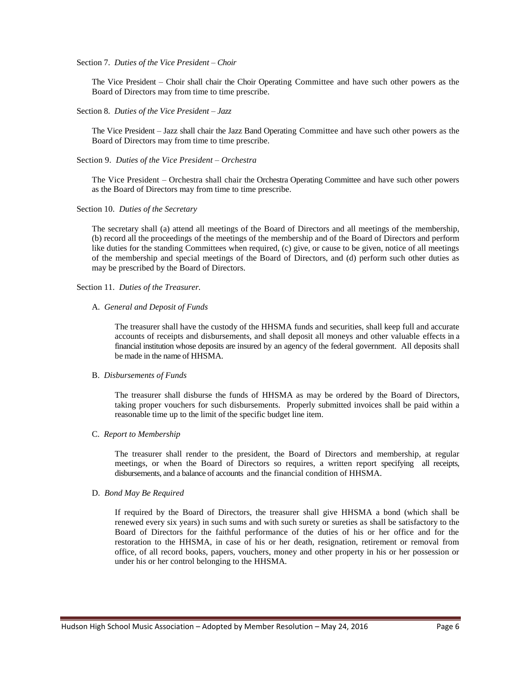#### Section 7. *Duties of the Vice President – Choir*

The Vice President – Choir shall chair the Choir Operating Committee and have such other powers as the Board of Directors may from time to time prescribe.

#### Section 8. *Duties of the Vice President – Jazz*

The Vice President – Jazz shall chair the Jazz Band Operating Committee and have such other powers as the Board of Directors may from time to time prescribe.

## Section 9. *Duties of the Vice President – Orchestra*

The Vice President – Orchestra shall chair the Orchestra Operating Committee and have such other powers as the Board of Directors may from time to time prescribe.

### Section 10. *Duties of the Secretary*

The secretary shall (a) attend all meetings of the Board of Directors and all meetings of the membership, (b) record all the proceedings of the meetings of the membership and of the Board of Directors and perform like duties for the standing Committees when required, (c) give, or cause to be given, notice of all meetings of the membership and special meetings of the Board of Directors, and (d) perform such other duties as may be prescribed by the Board of Directors.

Section 11. *Duties of the Treasurer.*

## A. *General and Deposit of Funds*

The treasurer shall have the custody of the HHSMA funds and securities, shall keep full and accurate accounts of receipts and disbursements, and shall deposit all moneys and other valuable effects in a financial institution whose deposits are insured by an agency of the federal government. All deposits shall be made in the name of HHSMA.

### B. *Disbursements of Funds*

The treasurer shall disburse the funds of HHSMA as may be ordered by the Board of Directors, taking proper vouchers for such disbursements. Properly submitted invoices shall be paid within a reasonable time up to the limit of the specific budget line item.

## C. *Report to Membership*

The treasurer shall render to the president, the Board of Directors and membership, at regular meetings, or when the Board of Directors so requires, a written report specifying all receipts, disbursements, and a balance of accounts and the financial condition of HHSMA.

### D. *Bond May Be Required*

If required by the Board of Directors, the treasurer shall give HHSMA a bond (which shall be renewed every six years) in such sums and with such surety or sureties as shall be satisfactory to the Board of Directors for the faithful performance of the duties of his or her office and for the restoration to the HHSMA, in case of his or her death, resignation, retirement or removal from office, of all record books, papers, vouchers, money and other property in his or her possession or under his or her control belonging to the HHSMA.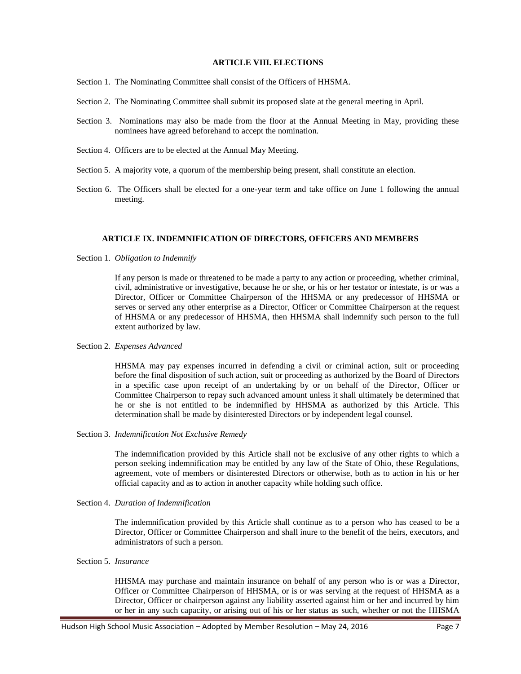### **ARTICLE VIII. ELECTIONS**

- Section 1. The Nominating Committee shall consist of the Officers of HHSMA.
- Section 2. The Nominating Committee shall submit its proposed slate at the general meeting in April.
- Section 3. Nominations may also be made from the floor at the Annual Meeting in May, providing these nominees have agreed beforehand to accept the nomination.
- Section 4. Officers are to be elected at the Annual May Meeting.
- Section 5. A majority vote, a quorum of the membership being present, shall constitute an election.
- Section 6. The Officers shall be elected for a one-year term and take office on June 1 following the annual meeting.

### **ARTICLE IX. INDEMNIFICATION OF DIRECTORS, OFFICERS AND MEMBERS**

Section 1. *Obligation to Indemnify*

If any person is made or threatened to be made a party to any action or proceeding, whether criminal, civil, administrative or investigative, because he or she, or his or her testator or intestate, is or was a Director, Officer or Committee Chairperson of the HHSMA or any predecessor of HHSMA or serves or served any other enterprise as a Director, Officer or Committee Chairperson at the request of HHSMA or any predecessor of HHSMA, then HHSMA shall indemnify such person to the full extent authorized by law.

## Section 2. *Expenses Advanced*

HHSMA may pay expenses incurred in defending a civil or criminal action, suit or proceeding before the final disposition of such action, suit or proceeding as authorized by the Board of Directors in a specific case upon receipt of an undertaking by or on behalf of the Director, Officer or Committee Chairperson to repay such advanced amount unless it shall ultimately be determined that he or she is not entitled to be indemnified by HHSMA as authorized by this Article. This determination shall be made by disinterested Directors or by independent legal counsel.

Section 3. *Indemnification Not Exclusive Remedy*

The indemnification provided by this Article shall not be exclusive of any other rights to which a person seeking indemnification may be entitled by any law of the State of Ohio, these Regulations, agreement, vote of members or disinterested Directors or otherwise, both as to action in his or her official capacity and as to action in another capacity while holding such office.

Section 4. *Duration of Indemnification*

The indemnification provided by this Article shall continue as to a person who has ceased to be a Director, Officer or Committee Chairperson and shall inure to the benefit of the heirs, executors, and administrators of such a person.

Section 5. *Insurance*

HHSMA may purchase and maintain insurance on behalf of any person who is or was a Director, Officer or Committee Chairperson of HHSMA, or is or was serving at the request of HHSMA as a Director, Officer or chairperson against any liability asserted against him or her and incurred by him or her in any such capacity, or arising out of his or her status as such, whether or not the HHSMA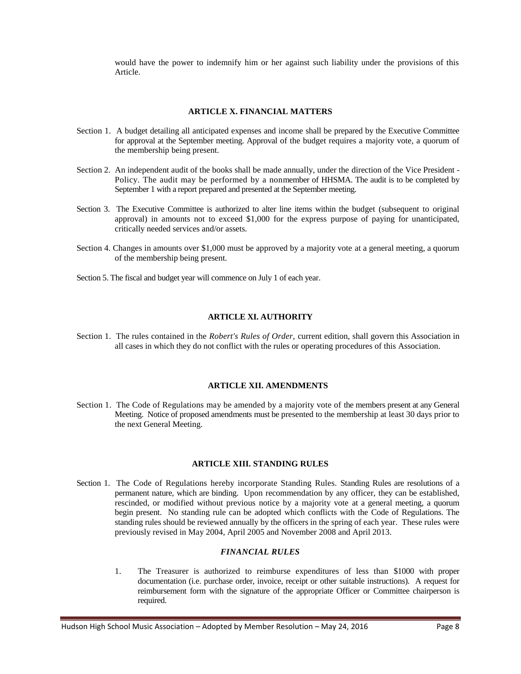would have the power to indemnify him or her against such liability under the provisions of this Article.

# **ARTICLE X. FINANCIAL MATTERS**

- Section 1. A budget detailing all anticipated expenses and income shall be prepared by the Executive Committee for approval at the September meeting. Approval of the budget requires a majority vote, a quorum of the membership being present.
- Section 2. An independent audit of the books shall be made annually, under the direction of the Vice President Policy. The audit may be performed by a nonmember of HHSMA. The audit is to be completed by September 1 with a report prepared and presented at the September meeting.
- Section 3. The Executive Committee is authorized to alter line items within the budget (subsequent to original approval) in amounts not to exceed \$1,000 for the express purpose of paying for unanticipated, critically needed services and/or assets.
- Section 4. Changes in amounts over \$1,000 must be approved by a majority vote at a general meeting, a quorum of the membership being present.
- Section 5. The fiscal and budget year will commence on July 1 of each year.

## **ARTICLE XI. AUTHORITY**

Section 1. The rules contained in the *Robert's Rules of Order,* current edition, shall govern this Association in all cases in which they do not conflict with the rules or operating procedures of this Association.

### **ARTICLE XII. AMENDMENTS**

Section 1. The Code of Regulations may be amended by a majority vote of the members present at any General Meeting. Notice of proposed amendments must be presented to the membership at least 30 days prior to the next General Meeting.

# **ARTICLE XIII. STANDING RULES**

Section 1. The Code of Regulations hereby incorporate Standing Rules. Standing Rules are resolutions of a permanent nature, which are binding. Upon recommendation by any officer, they can be established, rescinded, or modified without previous notice by a majority vote at a general meeting, a quorum begin present. No standing rule can be adopted which conflicts with the Code of Regulations. The standing rules should be reviewed annually by the officers in the spring of each year. These rules were previously revised in May 2004, April 2005 and November 2008 and April 2013.

# *FINANCIAL RULES*

1. The Treasurer is authorized to reimburse expenditures of less than \$1000 with proper documentation (i.e. purchase order, invoice, receipt or other suitable instructions). A request for reimbursement form with the signature of the appropriate Officer or Committee chairperson is required.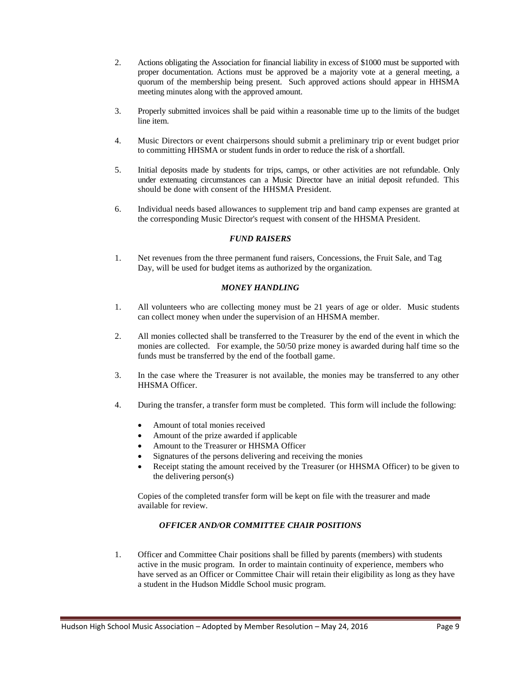- 2. Actions obligating the Association for financial liability in excess of \$1000 must be supported with proper documentation. Actions must be approved be a majority vote at a general meeting, a quorum of the membership being present. Such approved actions should appear in HHSMA meeting minutes along with the approved amount.
- 3. Properly submitted invoices shall be paid within a reasonable time up to the limits of the budget line item.
- 4. Music Directors or event chairpersons should submit a preliminary trip or event budget prior to committing HHSMA or student funds in order to reduce the risk of a shortfall.
- 5. Initial deposits made by students for trips, camps, or other activities are not refundable. Only under extenuating circumstances can a Music Director have an initial deposit refunded. This should be done with consent of the HHSMA President.
- 6. Individual needs based allowances to supplement trip and band camp expenses are granted at the corresponding Music Director's request with consent of the HHSMA President.

## *FUND RAISERS*

1. Net revenues from the three permanent fund raisers, Concessions, the Fruit Sale, and Tag Day, will be used for budget items as authorized by the organization.

## *MONEY HANDLING*

- 1. All volunteers who are collecting money must be 21 years of age or older. Music students can collect money when under the supervision of an HHSMA member.
- 2. All monies collected shall be transferred to the Treasurer by the end of the event in which the monies are collected. For example, the 50/50 prize money is awarded during half time so the funds must be transferred by the end of the football game.
- 3. In the case where the Treasurer is not available, the monies may be transferred to any other HHSMA Officer.
- 4. During the transfer, a transfer form must be completed. This form will include the following:
	- Amount of total monies received
	- Amount of the prize awarded if applicable
	- Amount to the Treasurer or HHSMA Officer
	- Signatures of the persons delivering and receiving the monies
	- Receipt stating the amount received by the Treasurer (or HHSMA Officer) to be given to the delivering person(s)

Copies of the completed transfer form will be kept on file with the treasurer and made available for review.

# *OFFICER AND/OR COMMITTEE CHAIR POSITIONS*

1. Officer and Committee Chair positions shall be filled by parents (members) with students active in the music program. In order to maintain continuity of experience, members who have served as an Officer or Committee Chair will retain their eligibility as long as they have a student in the Hudson Middle School music program.